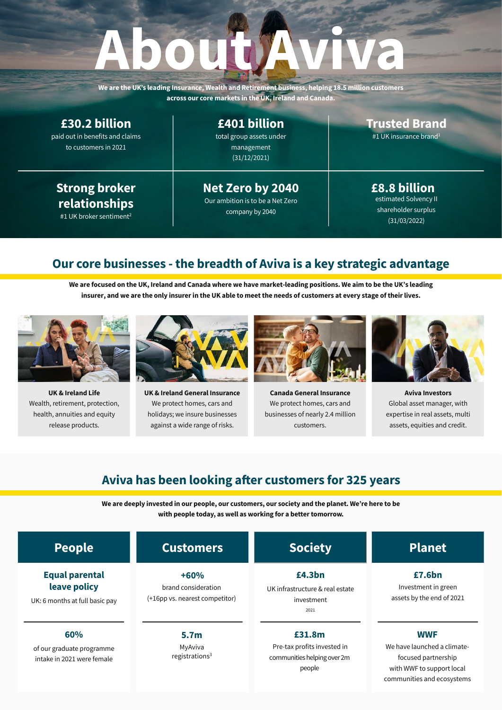communities and ecosystems

| <b>People</b>                                                           | <b>Customers</b>                                                | <b>Society</b>                                                                 | <b>Planet</b>                                                                                 |
|-------------------------------------------------------------------------|-----------------------------------------------------------------|--------------------------------------------------------------------------------|-----------------------------------------------------------------------------------------------|
| <b>Equal parental</b><br>leave policy<br>UK: 6 months at full basic pay | $+60%$<br>brand consideration<br>(+16pp vs. nearest competitor) | £4.3bn<br>UK infrastructure & real estate<br>investment<br>2021                | £7.6bn<br>Investment in green<br>assets by the end of 2021                                    |
| 60%<br>of our graduate programme<br>intake in 2021 were female          | 5.7 <sub>m</sub><br>MyAviva<br>registrations $3$                | £31.8m<br>Pre-tax profits invested in<br>communities helping over 2m<br>people | <b>WWF</b><br>We have launched a climate-<br>focused partnership<br>with WWF to support local |

**We are deeply invested in our people, our customers, our society and the planet. We're here to be with people today, as well as working for a better tomorrow.**

### **Aviva has been looking afer customers for 325 years**



**Aviva Investors** Global asset manager, with expertise in real assets, multi assets, equities and credit.



**Canada General Insurance** We protect homes, cars and businesses of nearly 2.4 million customers.



**UK & Ireland General Insurance**  We protect homes, cars and holidays; we insure businesses against a wide range of risks.



**UK & Ireland Life**  Wealth, retirement, protection, health, annuities and equity release products.

**We are focused on the UK, Ireland and Canada where we have market-leading positions. We aim to be the UK's leading insurer, and we are the only insurer in the UK able to meetthe needs of customers at every stage of theirlives.**

# **Our core businesses - the breadth of Aviva is a key strategic advantage**

**£8.8 billion** estimated Solvency II shareholder surplus (31/03/2022)

**Trusted Brand**

#1 UK insurance brand<sup>1</sup>

**Net Zero by 2040** Our ambition is to be a Net Zero company by 2040

total group assets under management (31/12/2021) **£401 billion**

**Strong broker relationships**

#1 UK broker sentiment<sup>2</sup>

paid out in benefits and claims to customers in 2021 **£30.2 billion**

**We are the UK's leading Insurance, Wealth and Retirement business, helping 18.5 million customers across our core markets in the UK, Ireland and Canada.**

# **About Aviva**